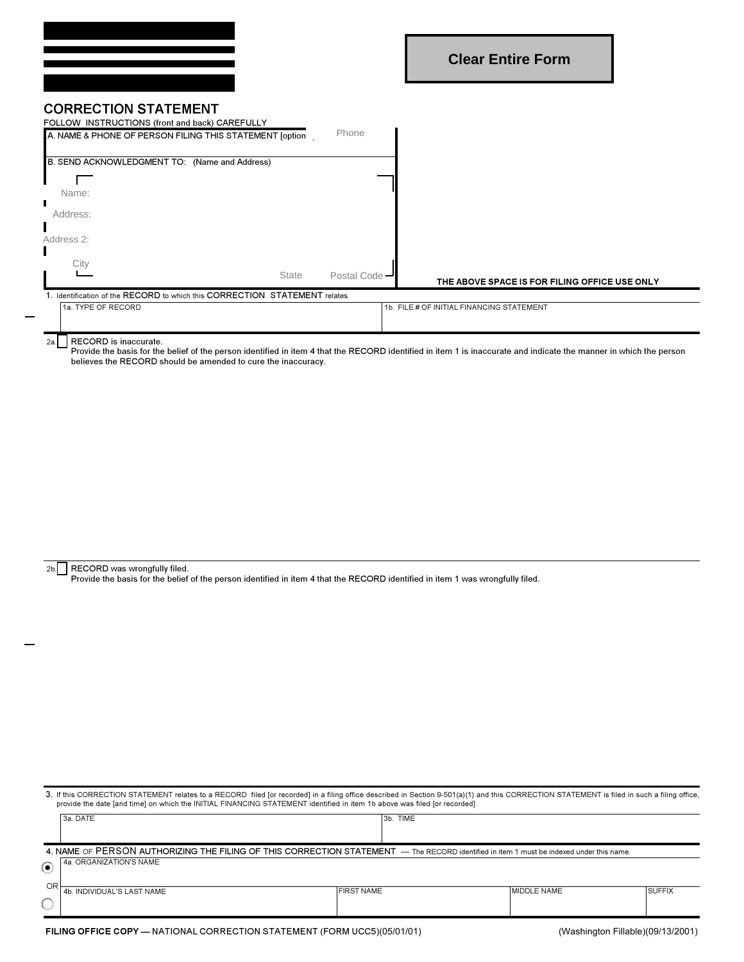## **CORRECTION STATEMENT**

| FOLLOW INSTRUCTIONS (front and back) CAREFULLY<br>A. NAME & PHONE OF PERSON FILING THIS STATEMENT [option | Phone         |                                               |  |  |  |  |
|-----------------------------------------------------------------------------------------------------------|---------------|-----------------------------------------------|--|--|--|--|
| B. SEND ACKNOWLEDGMENT TO: (Name and Address)                                                             |               |                                               |  |  |  |  |
|                                                                                                           |               |                                               |  |  |  |  |
| Name:                                                                                                     |               |                                               |  |  |  |  |
| Address:                                                                                                  |               |                                               |  |  |  |  |
| Address 2:                                                                                                |               |                                               |  |  |  |  |
| City                                                                                                      |               |                                               |  |  |  |  |
| <b>State</b>                                                                                              | Postal Code - | THE ABOVE SPACE IS FOR FILING OFFICE USE ONLY |  |  |  |  |
| 1. Identification of the RECORD to which this CORRECTION STATEMENT relates.                               |               |                                               |  |  |  |  |
| 1a. TYPE OF RECORD                                                                                        |               | 1b. FILE # OF INITIAL FINANCING STATEMENT     |  |  |  |  |
|                                                                                                           |               |                                               |  |  |  |  |

## $2a$ .

RECORD is inaccurate.<br>Provide the basis for the belief of the person identified in item 4 that the RECORD identified in item 1 is inaccurate and indicate the manner in which the person believes the RECORD should be amended to cure the inaccuracy.

2b. RECORD was wrongfully filed.<br>Provide the basis for the belief of the person identified in item 4 that the RECORD identified in item 1 was wrongfully filed.

| 3. If this CORRECTION STATEMENT relates to a RECORD filed [or recorded] in a filing office described in Section 9-501(a)(1) and this CORRECTION STATEMENT is filed in such a filing office,<br>provide the date [and time] on which the INITIAL FINANCING STATEMENT identified in item 1b above was filed [or recorded]. |                            |                   |             |               |  |  |
|--------------------------------------------------------------------------------------------------------------------------------------------------------------------------------------------------------------------------------------------------------------------------------------------------------------------------|----------------------------|-------------------|-------------|---------------|--|--|
|                                                                                                                                                                                                                                                                                                                          | 3a. DATE                   | 3b. TIME          |             |               |  |  |
|                                                                                                                                                                                                                                                                                                                          |                            |                   |             |               |  |  |
| 4. NAME OF PERSON AUTHORIZING THE FILING OF THIS CORRECTION STATEMENT - The RECORD identified in item 1 must be indexed under this name.                                                                                                                                                                                 |                            |                   |             |               |  |  |
| ◉                                                                                                                                                                                                                                                                                                                        | l 4a. ORGANIZATION'S NAME  |                   |             |               |  |  |
| OR                                                                                                                                                                                                                                                                                                                       | 4b. INDIVIDUAL'S LAST NAME | <b>FIRST NAME</b> | MIDDLE NAME | <b>SUFFIX</b> |  |  |
|                                                                                                                                                                                                                                                                                                                          |                            |                   |             |               |  |  |